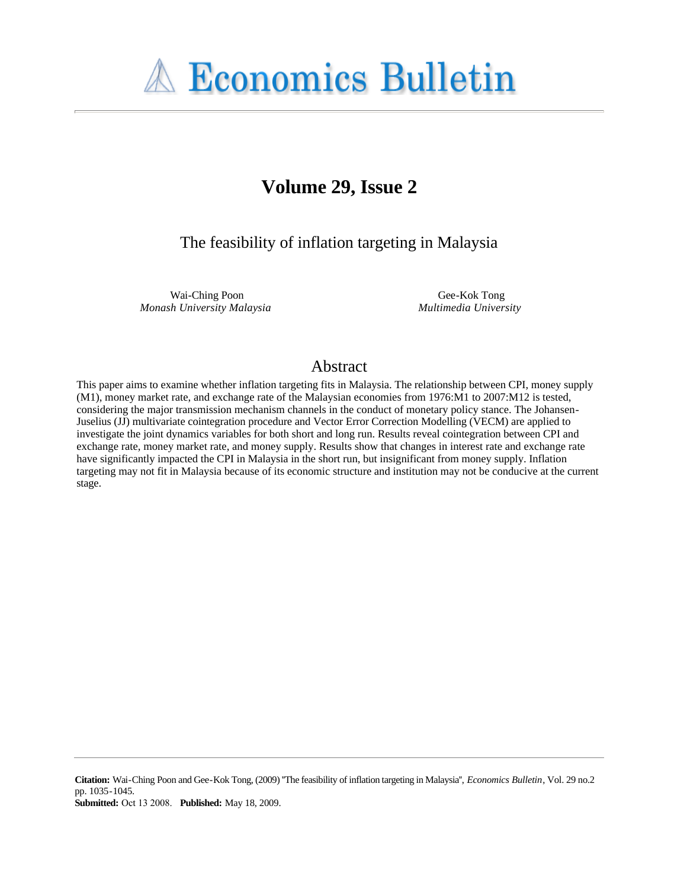

# **Volume 29, Issue 2**

The feasibility of inflation targeting in Malaysia

Wai-Ching Poon *Monash University Malaysia*

Gee-Kok Tong *Multimedia University*

# Abstract

This paper aims to examine whether inflation targeting fits in Malaysia. The relationship between CPI, money supply (M1), money market rate, and exchange rate of the Malaysian economies from 1976:M1 to 2007:M12 is tested, considering the major transmission mechanism channels in the conduct of monetary policy stance. The Johansen-Juselius (JJ) multivariate cointegration procedure and Vector Error Correction Modelling (VECM) are applied to investigate the joint dynamics variables for both short and long run. Results reveal cointegration between CPI and exchange rate, money market rate, and money supply. Results show that changes in interest rate and exchange rate have significantly impacted the CPI in Malaysia in the short run, but insignificant from money supply. Inflation targeting may not fit in Malaysia because of its economic structure and institution may not be conducive at the current stage.

**Citation:** Wai-Ching Poon and Gee-Kok Tong, (2009) ''The feasibility of inflation targeting in Malaysia'', *Economics Bulletin*, Vol. 29 no.2 pp. 1035-1045.

**Submitted:** Oct 13 2008. **Published:** May 18, 2009.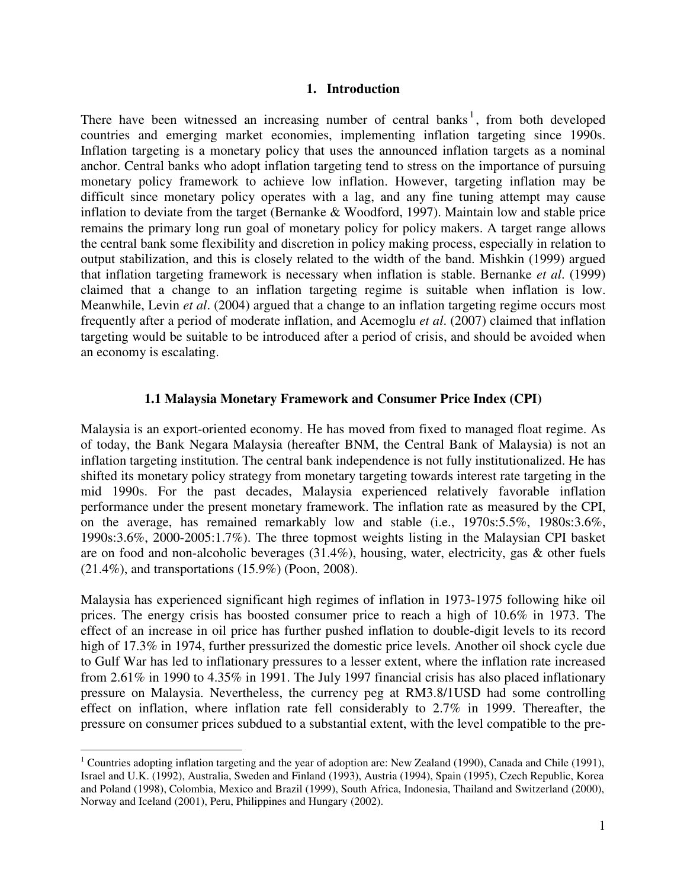#### **1. Introduction**

There have been witnessed an increasing number of central banks<sup>1</sup>, from both developed countries and emerging market economies, implementing inflation targeting since 1990s. Inflation targeting is a monetary policy that uses the announced inflation targets as a nominal anchor. Central banks who adopt inflation targeting tend to stress on the importance of pursuing monetary policy framework to achieve low inflation. However, targeting inflation may be difficult since monetary policy operates with a lag, and any fine tuning attempt may cause inflation to deviate from the target (Bernanke & Woodford, 1997). Maintain low and stable price remains the primary long run goal of monetary policy for policy makers. A target range allows the central bank some flexibility and discretion in policy making process, especially in relation to output stabilization, and this is closely related to the width of the band. Mishkin (1999) argued that inflation targeting framework is necessary when inflation is stable. Bernanke *et al*. (1999) claimed that a change to an inflation targeting regime is suitable when inflation is low. Meanwhile, Levin *et al*. (2004) argued that a change to an inflation targeting regime occurs most frequently after a period of moderate inflation, and Acemoglu *et al*. (2007) claimed that inflation targeting would be suitable to be introduced after a period of crisis, and should be avoided when an economy is escalating.

#### **1.1 Malaysia Monetary Framework and Consumer Price Index (CPI)**

Malaysia is an export-oriented economy. He has moved from fixed to managed float regime. As of today, the Bank Negara Malaysia (hereafter BNM, the Central Bank of Malaysia) is not an inflation targeting institution. The central bank independence is not fully institutionalized. He has shifted its monetary policy strategy from monetary targeting towards interest rate targeting in the mid 1990s. For the past decades, Malaysia experienced relatively favorable inflation performance under the present monetary framework. The inflation rate as measured by the CPI, on the average, has remained remarkably low and stable (i.e., 1970s:5.5%, 1980s:3.6%, 1990s:3.6%, 2000-2005:1.7%). The three topmost weights listing in the Malaysian CPI basket are on food and non-alcoholic beverages (31.4%), housing, water, electricity, gas & other fuels (21.4%), and transportations (15.9%) (Poon, 2008).

Malaysia has experienced significant high regimes of inflation in 1973-1975 following hike oil prices. The energy crisis has boosted consumer price to reach a high of 10.6% in 1973. The effect of an increase in oil price has further pushed inflation to double-digit levels to its record high of 17.3% in 1974, further pressurized the domestic price levels. Another oil shock cycle due to Gulf War has led to inflationary pressures to a lesser extent, where the inflation rate increased from 2.61% in 1990 to 4.35% in 1991. The July 1997 financial crisis has also placed inflationary pressure on Malaysia. Nevertheless, the currency peg at RM3.8/1USD had some controlling effect on inflation, where inflation rate fell considerably to 2.7% in 1999. Thereafter, the pressure on consumer prices subdued to a substantial extent, with the level compatible to the pre-

 $\overline{a}$ 

<sup>&</sup>lt;sup>1</sup> Countries adopting inflation targeting and the year of adoption are: New Zealand (1990), Canada and Chile (1991), Israel and U.K. (1992), Australia, Sweden and Finland (1993), Austria (1994), Spain (1995), Czech Republic, Korea and Poland (1998), Colombia, Mexico and Brazil (1999), South Africa, Indonesia, Thailand and Switzerland (2000), Norway and Iceland (2001), Peru, Philippines and Hungary (2002).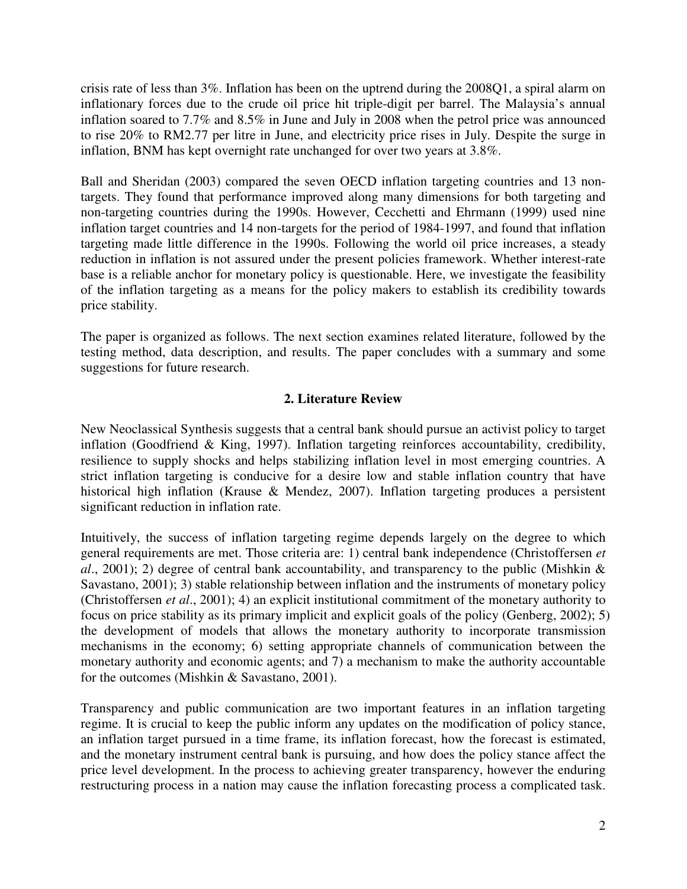crisis rate of less than 3%. Inflation has been on the uptrend during the 2008Q1, a spiral alarm on inflationary forces due to the crude oil price hit triple-digit per barrel. The Malaysia's annual inflation soared to 7.7% and 8.5% in June and July in 2008 when the petrol price was announced to rise 20% to RM2.77 per litre in June, and electricity price rises in July. Despite the surge in inflation, BNM has kept overnight rate unchanged for over two years at 3.8%.

Ball and Sheridan (2003) compared the seven OECD inflation targeting countries and 13 nontargets. They found that performance improved along many dimensions for both targeting and non-targeting countries during the 1990s. However, Cecchetti and Ehrmann (1999) used nine inflation target countries and 14 non-targets for the period of 1984-1997, and found that inflation targeting made little difference in the 1990s. Following the world oil price increases, a steady reduction in inflation is not assured under the present policies framework. Whether interest-rate base is a reliable anchor for monetary policy is questionable. Here, we investigate the feasibility of the inflation targeting as a means for the policy makers to establish its credibility towards price stability.

The paper is organized as follows. The next section examines related literature, followed by the testing method, data description, and results. The paper concludes with a summary and some suggestions for future research.

# **2. Literature Review**

New Neoclassical Synthesis suggests that a central bank should pursue an activist policy to target inflation (Goodfriend & King, 1997). Inflation targeting reinforces accountability, credibility, resilience to supply shocks and helps stabilizing inflation level in most emerging countries. A strict inflation targeting is conducive for a desire low and stable inflation country that have historical high inflation (Krause & Mendez, 2007). Inflation targeting produces a persistent significant reduction in inflation rate.

Intuitively, the success of inflation targeting regime depends largely on the degree to which general requirements are met. Those criteria are: 1) central bank independence (Christoffersen *et al*., 2001); 2) degree of central bank accountability, and transparency to the public (Mishkin & Savastano, 2001); 3) stable relationship between inflation and the instruments of monetary policy (Christoffersen *et al*., 2001); 4) an explicit institutional commitment of the monetary authority to focus on price stability as its primary implicit and explicit goals of the policy (Genberg, 2002); 5) the development of models that allows the monetary authority to incorporate transmission mechanisms in the economy; 6) setting appropriate channels of communication between the monetary authority and economic agents; and 7) a mechanism to make the authority accountable for the outcomes (Mishkin & Savastano, 2001).

Transparency and public communication are two important features in an inflation targeting regime. It is crucial to keep the public inform any updates on the modification of policy stance, an inflation target pursued in a time frame, its inflation forecast, how the forecast is estimated, and the monetary instrument central bank is pursuing, and how does the policy stance affect the price level development. In the process to achieving greater transparency, however the enduring restructuring process in a nation may cause the inflation forecasting process a complicated task.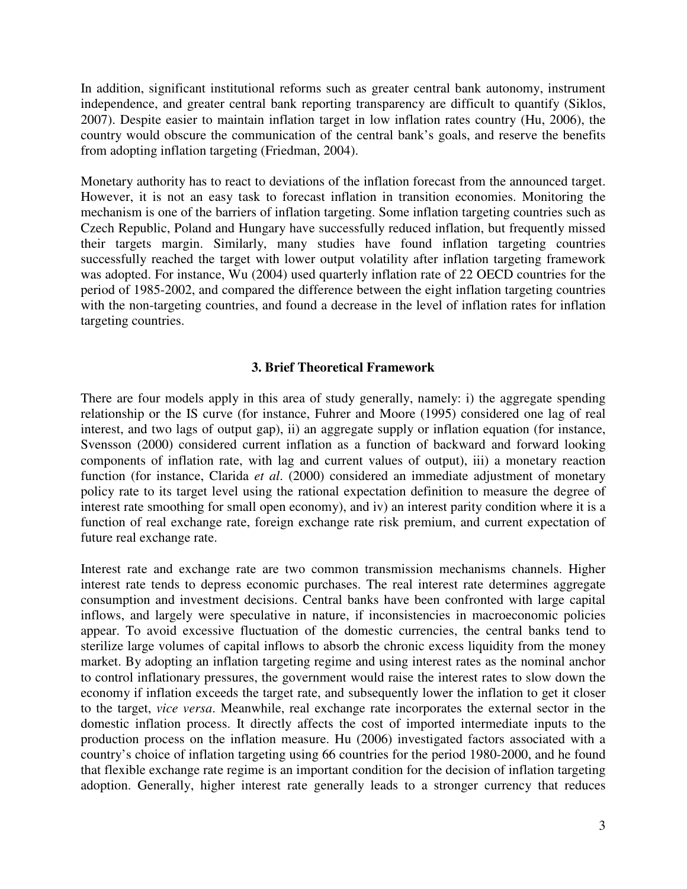In addition, significant institutional reforms such as greater central bank autonomy, instrument independence, and greater central bank reporting transparency are difficult to quantify (Siklos, 2007). Despite easier to maintain inflation target in low inflation rates country (Hu, 2006), the country would obscure the communication of the central bank's goals, and reserve the benefits from adopting inflation targeting (Friedman, 2004).

Monetary authority has to react to deviations of the inflation forecast from the announced target. However, it is not an easy task to forecast inflation in transition economies. Monitoring the mechanism is one of the barriers of inflation targeting. Some inflation targeting countries such as Czech Republic, Poland and Hungary have successfully reduced inflation, but frequently missed their targets margin. Similarly, many studies have found inflation targeting countries successfully reached the target with lower output volatility after inflation targeting framework was adopted. For instance, Wu (2004) used quarterly inflation rate of 22 OECD countries for the period of 1985-2002, and compared the difference between the eight inflation targeting countries with the non-targeting countries, and found a decrease in the level of inflation rates for inflation targeting countries.

#### **3. Brief Theoretical Framework**

There are four models apply in this area of study generally, namely: i) the aggregate spending relationship or the IS curve (for instance, Fuhrer and Moore (1995) considered one lag of real interest, and two lags of output gap), ii) an aggregate supply or inflation equation (for instance, Svensson (2000) considered current inflation as a function of backward and forward looking components of inflation rate, with lag and current values of output), iii) a monetary reaction function (for instance, Clarida *et al*. (2000) considered an immediate adjustment of monetary policy rate to its target level using the rational expectation definition to measure the degree of interest rate smoothing for small open economy), and iv) an interest parity condition where it is a function of real exchange rate, foreign exchange rate risk premium, and current expectation of future real exchange rate.

Interest rate and exchange rate are two common transmission mechanisms channels. Higher interest rate tends to depress economic purchases. The real interest rate determines aggregate consumption and investment decisions. Central banks have been confronted with large capital inflows, and largely were speculative in nature, if inconsistencies in macroeconomic policies appear. To avoid excessive fluctuation of the domestic currencies, the central banks tend to sterilize large volumes of capital inflows to absorb the chronic excess liquidity from the money market. By adopting an inflation targeting regime and using interest rates as the nominal anchor to control inflationary pressures, the government would raise the interest rates to slow down the economy if inflation exceeds the target rate, and subsequently lower the inflation to get it closer to the target, *vice versa*. Meanwhile, real exchange rate incorporates the external sector in the domestic inflation process. It directly affects the cost of imported intermediate inputs to the production process on the inflation measure. Hu (2006) investigated factors associated with a country's choice of inflation targeting using 66 countries for the period 1980-2000, and he found that flexible exchange rate regime is an important condition for the decision of inflation targeting adoption. Generally, higher interest rate generally leads to a stronger currency that reduces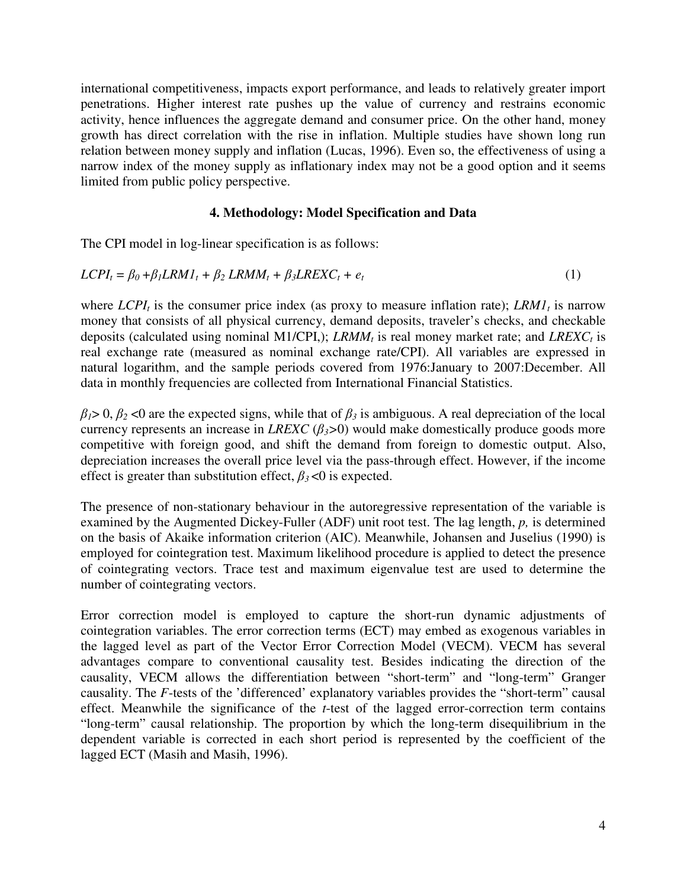international competitiveness, impacts export performance, and leads to relatively greater import penetrations. Higher interest rate pushes up the value of currency and restrains economic activity, hence influences the aggregate demand and consumer price. On the other hand, money growth has direct correlation with the rise in inflation. Multiple studies have shown long run relation between money supply and inflation (Lucas, 1996). Even so, the effectiveness of using a narrow index of the money supply as inflationary index may not be a good option and it seems limited from public policy perspective.

## **4. Methodology: Model Specification and Data**

The CPI model in log-linear specification is as follows:

$$
LCPI_t = \beta_0 + \beta_1 LRMI_t + \beta_2 LRMM_t + \beta_3 LREXC_t + e_t
$$
 (1)

where  $LCPI<sub>t</sub>$  is the consumer price index (as proxy to measure inflation rate);  $LRM1<sub>t</sub>$  is narrow money that consists of all physical currency, demand deposits, traveler's checks, and checkable deposits (calculated using nominal M1/CPI,); *LRMM<sup>t</sup>* is real money market rate; and *LREXC<sup>t</sup>* is real exchange rate (measured as nominal exchange rate/CPI). All variables are expressed in natural logarithm, and the sample periods covered from 1976:January to 2007:December. All data in monthly frequencies are collected from International Financial Statistics.

 $β<sub>1</sub> > 0, β<sub>2</sub> < 0$  are the expected signs, while that of  $β<sub>3</sub>$  is ambiguous. A real depreciation of the local currency represents an increase in *LREXC*  $(\beta_3>0)$  would make domestically produce goods more competitive with foreign good, and shift the demand from foreign to domestic output. Also, depreciation increases the overall price level via the pass-through effect. However, if the income effect is greater than substitution effect,  $\beta_3$ <0 is expected.

The presence of non-stationary behaviour in the autoregressive representation of the variable is examined by the Augmented Dickey-Fuller (ADF) unit root test. The lag length, *p,* is determined on the basis of Akaike information criterion (AIC). Meanwhile, Johansen and Juselius (1990) is employed for cointegration test. Maximum likelihood procedure is applied to detect the presence of cointegrating vectors. Trace test and maximum eigenvalue test are used to determine the number of cointegrating vectors.

Error correction model is employed to capture the short-run dynamic adjustments of cointegration variables. The error correction terms (ECT) may embed as exogenous variables in the lagged level as part of the Vector Error Correction Model (VECM). VECM has several advantages compare to conventional causality test. Besides indicating the direction of the causality, VECM allows the differentiation between "short-term" and "long-term" Granger causality. The *F*-tests of the 'differenced' explanatory variables provides the "short-term" causal effect. Meanwhile the significance of the *t*-test of the lagged error-correction term contains "long-term" causal relationship. The proportion by which the long-term disequilibrium in the dependent variable is corrected in each short period is represented by the coefficient of the lagged ECT (Masih and Masih, 1996).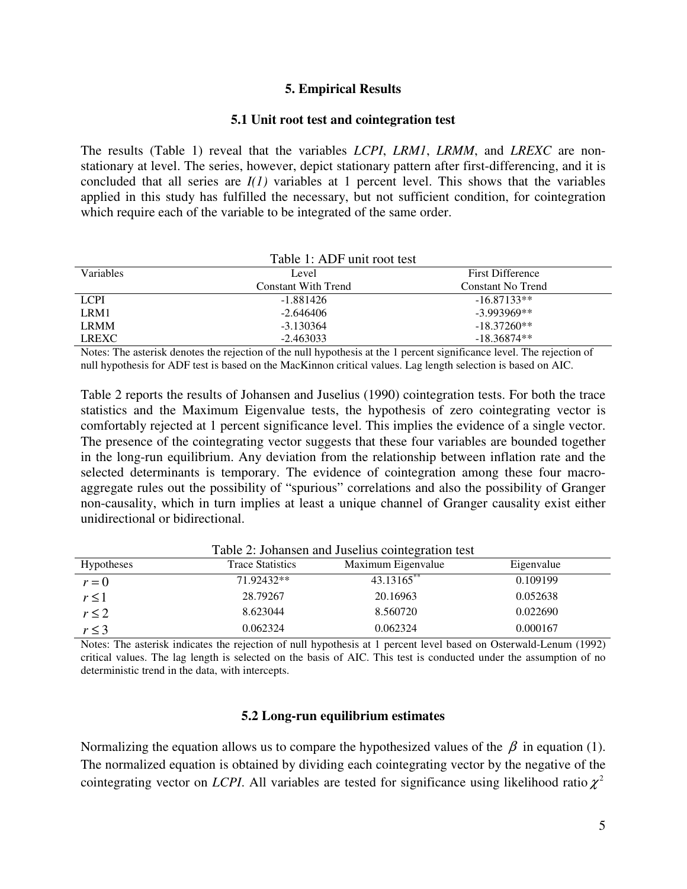#### **5. Empirical Results**

#### **5.1 Unit root test and cointegration test**

The results (Table 1) reveal that the variables *LCPI*, *LRM1*, *LRMM*, and *LREXC* are nonstationary at level. The series, however, depict stationary pattern after first-differencing, and it is concluded that all series are *I(1)* variables at 1 percent level. This shows that the variables applied in this study has fulfilled the necessary, but not sufficient condition, for cointegration which require each of the variable to be integrated of the same order.

| Table 1: ADF unit root test |                                  |                   |  |  |
|-----------------------------|----------------------------------|-------------------|--|--|
| <b>Variables</b>            | <b>First Difference</b><br>Level |                   |  |  |
|                             | Constant With Trend              | Constant No Trend |  |  |
| <b>LCPI</b>                 | -1.881426                        | $-16.87133**$     |  |  |
| LRM1                        | $-2.646406$                      | $-3.993969**$     |  |  |
| <b>LRMM</b>                 | $-3.130364$                      | $-18.37260**$     |  |  |
| <b>LREXC</b>                | $-2.463033$                      | $-18.36874**$     |  |  |

Notes: The asterisk denotes the rejection of the null hypothesis at the 1 percent significance level. The rejection of null hypothesis for ADF test is based on the MacKinnon critical values. Lag length selection is based on AIC.

Table 2 reports the results of Johansen and Juselius (1990) cointegration tests. For both the trace statistics and the Maximum Eigenvalue tests, the hypothesis of zero cointegrating vector is comfortably rejected at 1 percent significance level. This implies the evidence of a single vector. The presence of the cointegrating vector suggests that these four variables are bounded together in the long-run equilibrium. Any deviation from the relationship between inflation rate and the selected determinants is temporary. The evidence of cointegration among these four macroaggregate rules out the possibility of "spurious" correlations and also the possibility of Granger non-causality, which in turn implies at least a unique channel of Granger causality exist either unidirectional or bidirectional.

| Table 2. Jonalisen and Jusenus connegration lest |                         |                    |            |  |  |
|--------------------------------------------------|-------------------------|--------------------|------------|--|--|
| <b>Hypotheses</b>                                | <b>Trace Statistics</b> | Maximum Eigenvalue | Eigenvalue |  |  |
| $r = 0$                                          | 71.92432**              | 43.13165**         | 0.109199   |  |  |
| $r \leq 1$                                       | 28.79267                | 20.16963           | 0.052638   |  |  |
| $r \leq 2$                                       | 8.623044                | 8.560720           | 0.022690   |  |  |
| $r \leq 3$                                       | 0.062324                | 0.062324           | 0.000167   |  |  |

Table 2: Johansen and Juselius cointegration test

Notes: The asterisk indicates the rejection of null hypothesis at 1 percent level based on Osterwald-Lenum (1992) critical values. The lag length is selected on the basis of AIC. This test is conducted under the assumption of no deterministic trend in the data, with intercepts.

#### **5.2 Long-run equilibrium estimates**

Normalizing the equation allows us to compare the hypothesized values of the  $\beta$  in equation (1). The normalized equation is obtained by dividing each cointegrating vector by the negative of the cointegrating vector on *LCPI*. All variables are tested for significance using likelihood ratio  $\chi^2$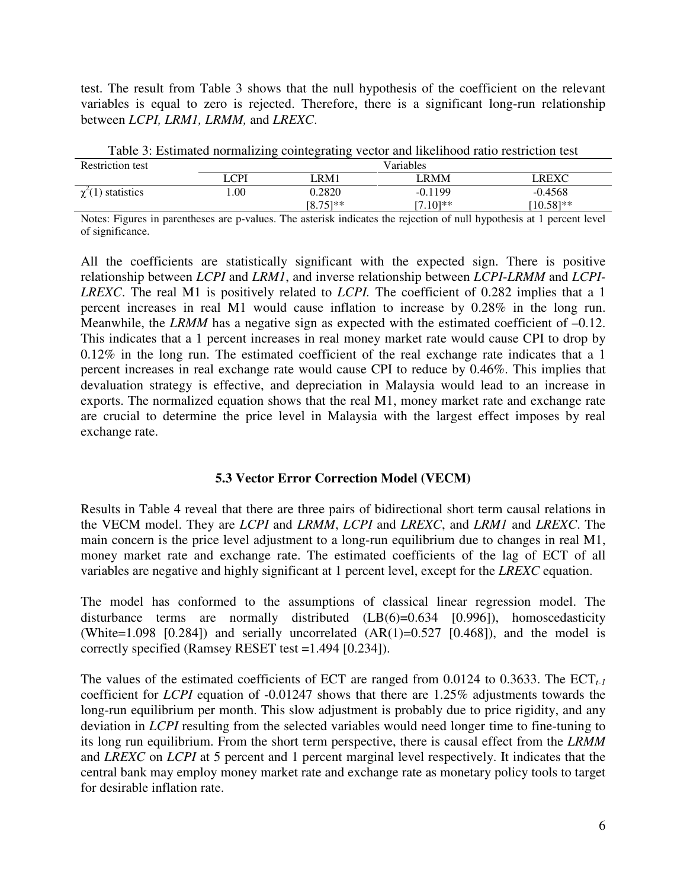test. The result from Table 3 shows that the null hypothesis of the coefficient on the relevant variables is equal to zero is rejected. Therefore, there is a significant long-run relationship between *LCPI, LRM1, LRMM,* and *LREXC*.

| . .                     |           |               |             |                       |
|-------------------------|-----------|---------------|-------------|-----------------------|
| <b>Restriction test</b> | Variables |               |             |                       |
|                         | _CPI      | RM1.          | LRMM        | LREXC                 |
| $\chi^2(1)$ statistics  | .00       | 0.2820        | $-0.1199$   | $-0.4568$             |
|                         |           | $[8.75]^{**}$ | $[7.10]$ ** | $10.58$ <sup>**</sup> |

Table 3: Estimated normalizing cointegrating vector and likelihood ratio restriction test

Notes: Figures in parentheses are p-values. The asterisk indicates the rejection of null hypothesis at 1 percent level of significance.

All the coefficients are statistically significant with the expected sign. There is positive relationship between *LCPI* and *LRM1*, and inverse relationship between *LCPI*-*LRMM* and *LCPI-LREXC*. The real M1 is positively related to *LCPI.* The coefficient of 0.282 implies that a 1 percent increases in real M1 would cause inflation to increase by 0.28% in the long run. Meanwhile, the *LRMM* has a negative sign as expected with the estimated coefficient of -0.12. This indicates that a 1 percent increases in real money market rate would cause CPI to drop by 0.12% in the long run. The estimated coefficient of the real exchange rate indicates that a 1 percent increases in real exchange rate would cause CPI to reduce by 0.46%. This implies that devaluation strategy is effective, and depreciation in Malaysia would lead to an increase in exports. The normalized equation shows that the real M1, money market rate and exchange rate are crucial to determine the price level in Malaysia with the largest effect imposes by real exchange rate.

### **5.3 Vector Error Correction Model (VECM)**

Results in Table 4 reveal that there are three pairs of bidirectional short term causal relations in the VECM model. They are *LCPI* and *LRMM*, *LCPI* and *LREXC*, and *LRM1* and *LREXC*. The main concern is the price level adjustment to a long-run equilibrium due to changes in real M1, money market rate and exchange rate. The estimated coefficients of the lag of ECT of all variables are negative and highly significant at 1 percent level, except for the *LREXC* equation.

The model has conformed to the assumptions of classical linear regression model. The disturbance terms are normally distributed (LB(6)=0.634 [0.996]), homoscedasticity (White=1.098 [0.284]) and serially uncorrelated  $(AR(1)=0.527$  [0.468]), and the model is correctly specified (Ramsey RESET test =1.494 [0.234]).

The values of the estimated coefficients of ECT are ranged from 0.0124 to 0.3633. The ECT<sub>t-1</sub> coefficient for *LCPI* equation of -0.01247 shows that there are 1.25% adjustments towards the long-run equilibrium per month. This slow adjustment is probably due to price rigidity, and any deviation in *LCPI* resulting from the selected variables would need longer time to fine-tuning to its long run equilibrium. From the short term perspective, there is causal effect from the *LRMM* and *LREXC* on *LCPI* at 5 percent and 1 percent marginal level respectively. It indicates that the central bank may employ money market rate and exchange rate as monetary policy tools to target for desirable inflation rate.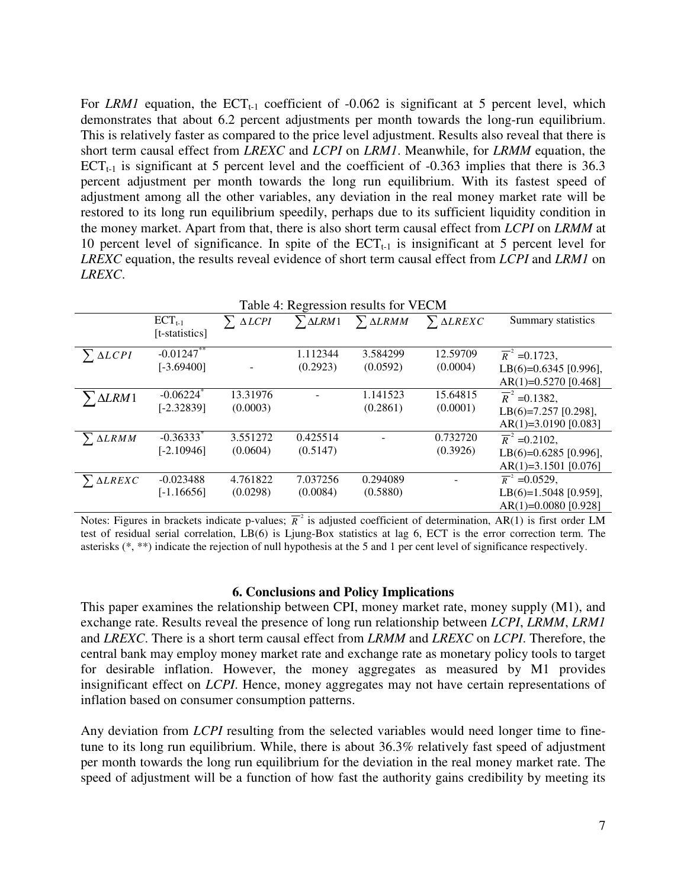For *LRM1* equation, the  $ECT_{t-1}$  coefficient of  $-0.062$  is significant at 5 percent level, which demonstrates that about 6.2 percent adjustments per month towards the long-run equilibrium. This is relatively faster as compared to the price level adjustment. Results also reveal that there is short term causal effect from *LREXC* and *LCPI* on *LRM1*. Meanwhile, for *LRMM* equation, the  $ECT<sub>t-1</sub>$  is significant at 5 percent level and the coefficient of -0.363 implies that there is 36.3 percent adjustment per month towards the long run equilibrium. With its fastest speed of adjustment among all the other variables, any deviation in the real money market rate will be restored to its long run equilibrium speedily, perhaps due to its sufficient liquidity condition in the money market. Apart from that, there is also short term causal effect from *LCPI* on *LRMM* at 10 percent level of significance. In spite of the  $ECT_{t-1}$  is insignificant at 5 percent level for *LREXC* equation, the results reveal evidence of short term causal effect from *LCPI* and *LRM1* on *LREXC*.

| Table 4: Regression results for VECM |                         |                          |          |                                            |                     |                           |
|--------------------------------------|-------------------------|--------------------------|----------|--------------------------------------------|---------------------|---------------------------|
|                                      | $ECT_{t-1}$             | $\sum \Delta L CPI$      |          | $\sum \Delta L R M1$ $\sum \Delta L R M M$ | $\sum \Delta LREXC$ | Summary statistics        |
|                                      | [t-statistics]          |                          |          |                                            |                     |                           |
| $\sum \Delta L CPI$                  | $-0.01247$ **           |                          | 1.112344 | 3.584299                                   | 12.59709            | $\overline{R}^2$ =0.1723, |
|                                      | $[-3.69400]$            | $\overline{\phantom{a}}$ | (0.2923) | (0.0592)                                   | (0.0004)            | LB(6)=0.6345 [0.996],     |
|                                      |                         |                          |          |                                            |                     | $AR(1)=0.5270$ [0.468]    |
| $\Delta LRM1$                        | $-0.06224$ <sup>*</sup> | 13.31976                 |          | 1.141523                                   | 15.64815            | $\overline{R}^2$ =0.1382, |
|                                      | $[-2.32839]$            | (0.0003)                 |          | (0.2861)                                   | (0.0001)            | LB $(6)=7.257$ [0.298],   |
|                                      |                         |                          |          |                                            |                     | $AR(1)=3.0190$ [0.083]    |
| $\sum \Delta L R M M$                | $-0.36333$ <sup>*</sup> | 3.551272                 | 0.425514 |                                            | 0.732720            | $\overline{R}^2$ =0.2102, |
|                                      | $[-2.10946]$            | (0.0604)                 | (0.5147) |                                            | (0.3926)            | LB(6)=0.6285 [0.996],     |
|                                      |                         |                          |          |                                            |                     | $AR(1)=3.1501$ [0.076]    |
| $\sum \Delta LREXC$                  | $-0.023488$             | 4.761822                 | 7.037256 | 0.294089                                   |                     | $\overline{R}^2$ =0.0529, |
|                                      | $[-1.16656]$            | (0.0298)                 | (0.0084) | (0.5880)                                   |                     | LB(6)=1.5048 [0.959],     |
|                                      |                         |                          |          |                                            |                     | $AR(1)=0.0080$ [0.928]    |

Notes: Figures in brackets indicate p-values;  $\overline{R}^2$  is adjusted coefficient of determination, AR(1) is first order LM test of residual serial correlation, LB(6) is Ljung-Box statistics at lag 6, ECT is the error correction term. The asterisks (\*, \*\*) indicate the rejection of null hypothesis at the 5 and 1 per cent level of significance respectively.

#### **6. Conclusions and Policy Implications**

This paper examines the relationship between CPI, money market rate, money supply (M1), and exchange rate. Results reveal the presence of long run relationship between *LCPI*, *LRMM*, *LRM1* and *LREXC*. There is a short term causal effect from *LRMM* and *LREXC* on *LCPI*. Therefore, the central bank may employ money market rate and exchange rate as monetary policy tools to target for desirable inflation. However, the money aggregates as measured by M1 provides insignificant effect on *LCPI*. Hence, money aggregates may not have certain representations of inflation based on consumer consumption patterns.

Any deviation from *LCPI* resulting from the selected variables would need longer time to finetune to its long run equilibrium. While, there is about 36.3% relatively fast speed of adjustment per month towards the long run equilibrium for the deviation in the real money market rate. The speed of adjustment will be a function of how fast the authority gains credibility by meeting its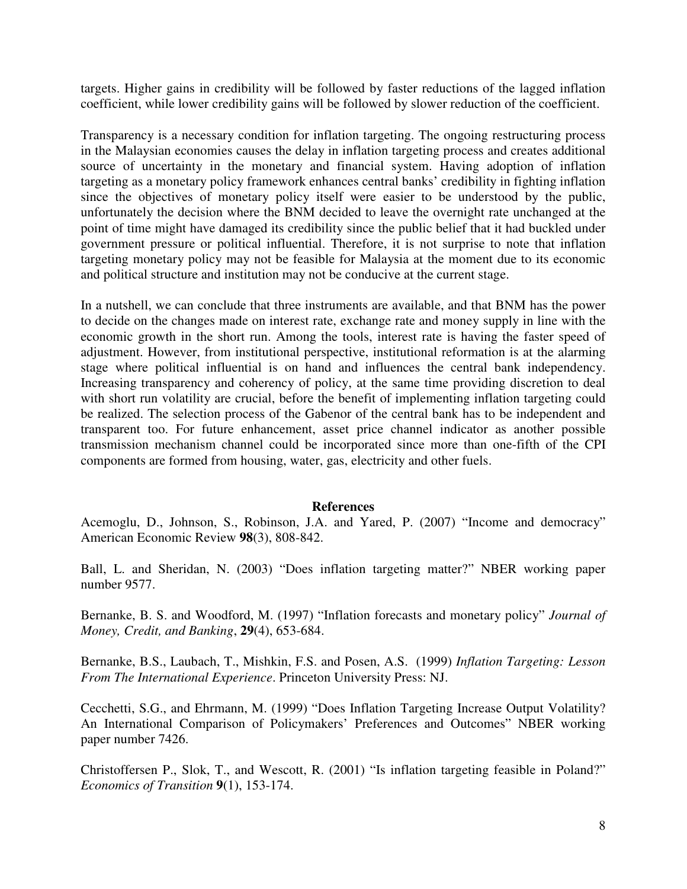targets. Higher gains in credibility will be followed by faster reductions of the lagged inflation coefficient, while lower credibility gains will be followed by slower reduction of the coefficient.

Transparency is a necessary condition for inflation targeting. The ongoing restructuring process in the Malaysian economies causes the delay in inflation targeting process and creates additional source of uncertainty in the monetary and financial system. Having adoption of inflation targeting as a monetary policy framework enhances central banks' credibility in fighting inflation since the objectives of monetary policy itself were easier to be understood by the public, unfortunately the decision where the BNM decided to leave the overnight rate unchanged at the point of time might have damaged its credibility since the public belief that it had buckled under government pressure or political influential. Therefore, it is not surprise to note that inflation targeting monetary policy may not be feasible for Malaysia at the moment due to its economic and political structure and institution may not be conducive at the current stage.

In a nutshell, we can conclude that three instruments are available, and that BNM has the power to decide on the changes made on interest rate, exchange rate and money supply in line with the economic growth in the short run. Among the tools, interest rate is having the faster speed of adjustment. However, from institutional perspective, institutional reformation is at the alarming stage where political influential is on hand and influences the central bank independency. Increasing transparency and coherency of policy, at the same time providing discretion to deal with short run volatility are crucial, before the benefit of implementing inflation targeting could be realized. The selection process of the Gabenor of the central bank has to be independent and transparent too. For future enhancement, asset price channel indicator as another possible transmission mechanism channel could be incorporated since more than one-fifth of the CPI components are formed from housing, water, gas, electricity and other fuels.

#### **References**

Acemoglu, D., Johnson, S., Robinson, J.A. and Yared, P. (2007) "Income and democracy" American Economic Review **98**(3), 808-842.

Ball, L. and Sheridan, N. (2003) "Does inflation targeting matter?" NBER working paper number 9577.

Bernanke, B. S. and Woodford, M. (1997) "Inflation forecasts and monetary policy" *Journal of Money, Credit, and Banking*, **29**(4), 653-684.

Bernanke, B.S., Laubach, T., Mishkin, F.S. and Posen, A.S. (1999) *Inflation Targeting: Lesson From The International Experience*. Princeton University Press: NJ.

Cecchetti, S.G., and Ehrmann, M. (1999) "Does Inflation Targeting Increase Output Volatility? An International Comparison of Policymakers' Preferences and Outcomes" NBER working paper number 7426.

Christoffersen P., Slok, T., and Wescott, R. (2001) "Is inflation targeting feasible in Poland?" *Economics of Transition* **9**(1), 153-174.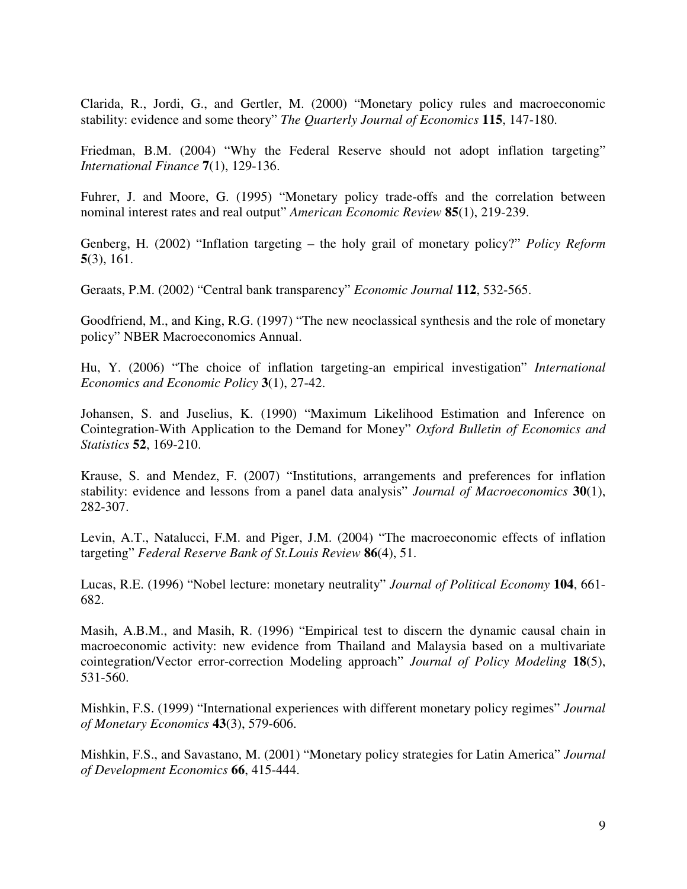Clarida, R., Jordi, G., and Gertler, M. (2000) "Monetary policy rules and macroeconomic stability: evidence and some theory" *The Quarterly Journal of Economics* **115**, 147-180.

Friedman, B.M. (2004) "Why the Federal Reserve should not adopt inflation targeting" *International Finance* **7**(1), 129-136.

Fuhrer, J. and Moore, G. (1995) "Monetary policy trade-offs and the correlation between nominal interest rates and real output" *American Economic Review* **85**(1), 219-239.

Genberg, H. (2002) "Inflation targeting – the holy grail of monetary policy?" *Policy Reform* **5**(3), 161.

Geraats, P.M. (2002) "Central bank transparency" *Economic Journal* **112**, 532-565.

Goodfriend, M., and King, R.G. (1997) "The new neoclassical synthesis and the role of monetary policy" NBER Macroeconomics Annual.

Hu, Y. (2006) "The choice of inflation targeting-an empirical investigation" *International Economics and Economic Policy* **3**(1), 27-42.

Johansen, S. and Juselius, K. (1990) "Maximum Likelihood Estimation and Inference on Cointegration-With Application to the Demand for Money" *Oxford Bulletin of Economics and Statistics* **52**, 169-210.

Krause, S. and Mendez, F. (2007) "Institutions, arrangements and preferences for inflation stability: evidence and lessons from a panel data analysis" *Journal of Macroeconomics* **30**(1), 282-307.

Levin, A.T., Natalucci, F.M. and Piger, J.M. (2004) "The macroeconomic effects of inflation targeting" *Federal Reserve Bank of St.Louis Review* **86**(4), 51.

Lucas, R.E. (1996) "Nobel lecture: monetary neutrality" *Journal of Political Economy* **104**, 661- 682.

Masih, A.B.M., and Masih, R. (1996) "Empirical test to discern the dynamic causal chain in macroeconomic activity: new evidence from Thailand and Malaysia based on a multivariate cointegration/Vector error-correction Modeling approach" *Journal of Policy Modeling* **18**(5), 531-560.

Mishkin, F.S. (1999) "International experiences with different monetary policy regimes" *Journal of Monetary Economics* **43**(3), 579-606.

Mishkin, F.S., and Savastano, M. (2001) "Monetary policy strategies for Latin America" *Journal of Development Economics* **66**, 415-444.